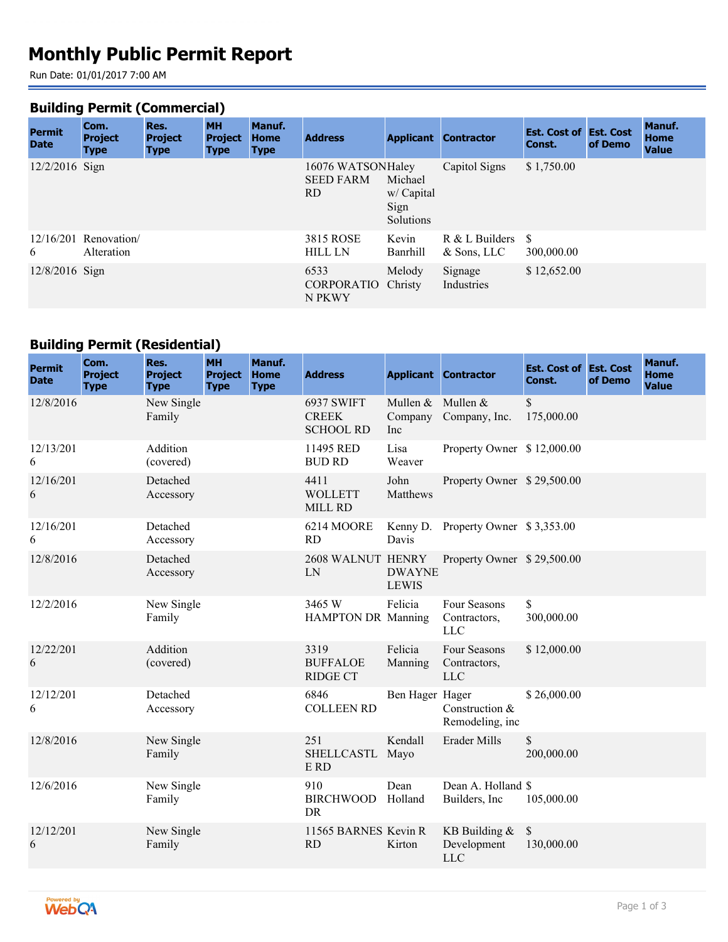# **Monthly Public Permit Report**

Run Date: 01/01/2017 7:00 AM

#### **Building Permit (Commercial)**

| <b>Permit</b><br><b>Date</b> | Com.<br><b>Project</b><br><b>Type</b> | Res.<br><b>Project</b><br><b>Type</b> | <b>MH</b><br><b>Project</b><br><b>Type</b> | Manuf.<br><b>Home</b><br><b>Type</b> | <b>Address</b>                               | <b>Applicant</b>                           | <b>Contractor</b>                 | <b>Est. Cost of Est. Cost</b><br>Const. | of Demo | Manuf.<br><b>Home</b><br><b>Value</b> |
|------------------------------|---------------------------------------|---------------------------------------|--------------------------------------------|--------------------------------------|----------------------------------------------|--------------------------------------------|-----------------------------------|-----------------------------------------|---------|---------------------------------------|
| $12/2/2016$ Sign             |                                       |                                       |                                            |                                      | 16076 WATSONHaley<br><b>SEED FARM</b><br>RD. | Michael<br>w/ Capital<br>Sign<br>Solutions | Capitol Signs                     | \$1,750.00                              |         |                                       |
| 6                            | $12/16/201$ Renovation<br>Alteration  |                                       |                                            |                                      | <b>3815 ROSE</b><br><b>HILL LN</b>           | Kevin<br>Banrhill                          | $R & L$ Builders<br>$&$ Sons, LLC | -S<br>300,000.00                        |         |                                       |
| $12/8/2016$ Sign             |                                       |                                       |                                            |                                      | 6533<br>CORPORATIO Christy<br>N PKWY         | Melody                                     | Signage<br>Industries             | \$12,652.00                             |         |                                       |

## **Building Permit (Residential)**

| <b>Permit</b><br><b>Date</b> | Com.<br><b>Project</b><br><b>Type</b> | Res.<br><b>Project</b><br><b>Type</b> | <b>MH</b><br><b>Project</b><br><b>Type</b> | Manuf.<br><b>Home</b><br><b>Type</b> | <b>Address</b>                                        |                                     | <b>Applicant Contractor</b>                  | <b>Est. Cost of Est. Cost</b><br>Const. | of Demo | Manuf.<br><b>Home</b><br><b>Value</b> |
|------------------------------|---------------------------------------|---------------------------------------|--------------------------------------------|--------------------------------------|-------------------------------------------------------|-------------------------------------|----------------------------------------------|-----------------------------------------|---------|---------------------------------------|
| 12/8/2016                    |                                       | New Single<br>Family                  |                                            |                                      | <b>6937 SWIFT</b><br><b>CREEK</b><br><b>SCHOOL RD</b> | Mullen & Mullen &<br>Company<br>Inc | Company, Inc.                                | $\mathbb{S}$<br>175,000.00              |         |                                       |
| 12/13/201<br>6               |                                       | Addition<br>(covered)                 |                                            |                                      | 11495 RED<br><b>BUD RD</b>                            | Lisa<br>Weaver                      | Property Owner \$12,000.00                   |                                         |         |                                       |
| 12/16/201<br>6               |                                       | Detached<br>Accessory                 |                                            |                                      | 4411<br><b>WOLLETT</b><br><b>MILL RD</b>              | John<br>Matthews                    | Property Owner \$29,500.00                   |                                         |         |                                       |
| 12/16/201<br>6               |                                       | Detached<br>Accessory                 |                                            |                                      | 6214 MOORE<br><b>RD</b>                               | Kenny D.<br>Davis                   | Property Owner \$3,353.00                    |                                         |         |                                       |
| 12/8/2016                    |                                       | Detached<br>Accessory                 |                                            |                                      | 2608 WALNUT HENRY<br>LN                               | <b>DWAYNE</b><br><b>LEWIS</b>       | Property Owner \$29,500.00                   |                                         |         |                                       |
| 12/2/2016                    |                                       | New Single<br>Family                  |                                            |                                      | 3465 W<br><b>HAMPTON DR Manning</b>                   | Felicia                             | Four Seasons<br>Contractors,<br><b>LLC</b>   | \$<br>300,000.00                        |         |                                       |
| 12/22/201<br>6               |                                       | Addition<br>(covered)                 |                                            |                                      | 3319<br><b>BUFFALOE</b><br><b>RIDGE CT</b>            | Felicia<br>Manning                  | Four Seasons<br>Contractors,<br><b>LLC</b>   | \$12,000.00                             |         |                                       |
| 12/12/201<br>6               |                                       | Detached<br>Accessory                 |                                            |                                      | 6846<br><b>COLLEEN RD</b>                             | Ben Hager Hager                     | Construction &<br>Remodeling, inc            | \$26,000.00                             |         |                                       |
| 12/8/2016                    |                                       | New Single<br>Family                  |                                            |                                      | 251<br><b>SHELLCASTL</b><br>E RD                      | Kendall<br>Mayo                     | Erader Mills                                 | \$<br>200,000.00                        |         |                                       |
| 12/6/2016                    |                                       | New Single<br>Family                  |                                            |                                      | 910<br><b>BIRCHWOOD</b><br><b>DR</b>                  | Dean<br>Holland                     | Dean A. Holland \$<br>Builders, Inc.         | 105,000.00                              |         |                                       |
| 12/12/201<br>6               |                                       | New Single<br>Family                  |                                            |                                      | 11565 BARNES Kevin R<br><b>RD</b>                     | Kirton                              | KB Building $&$<br>Development<br><b>LLC</b> | $\mathbb{S}$<br>130,000.00              |         |                                       |

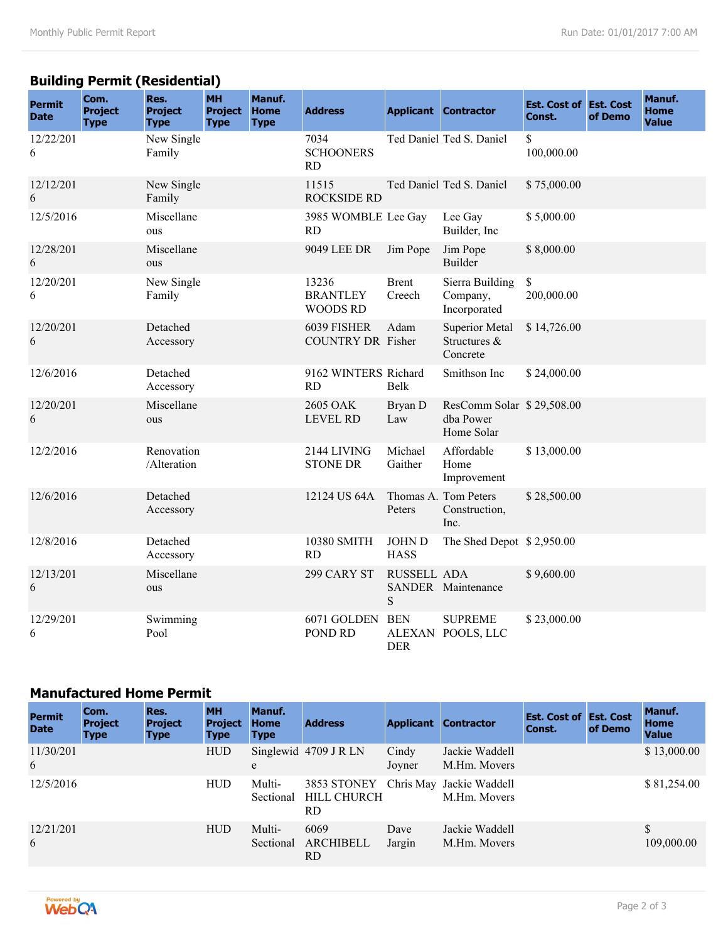## **Building Permit (Residential)**

| <b>Permit</b><br><b>Date</b> | Com.<br><b>Project</b><br><b>Type</b> | Res.<br><b>Project</b><br><b>Type</b> | <b>MH</b><br><b>Project</b><br><b>Type</b> | Manuf.<br>Home<br><b>Type</b> | <b>Address</b>                        |                              | <b>Applicant Contractor</b>                          | <b>Est. Cost of Est. Cost</b><br>Const. | of Demo | Manuf.<br><b>Home</b><br><b>Value</b> |
|------------------------------|---------------------------------------|---------------------------------------|--------------------------------------------|-------------------------------|---------------------------------------|------------------------------|------------------------------------------------------|-----------------------------------------|---------|---------------------------------------|
| 12/22/201<br>6               |                                       | New Single<br>Family                  |                                            |                               | 7034<br><b>SCHOONERS</b><br><b>RD</b> |                              | Ted Daniel Ted S. Daniel                             | \$<br>100,000.00                        |         |                                       |
| 12/12/201<br>6               |                                       | New Single<br>Family                  |                                            |                               | 11515<br><b>ROCKSIDE RD</b>           |                              | Ted Daniel Ted S. Daniel                             | \$75,000.00                             |         |                                       |
| 12/5/2016                    |                                       | Miscellane<br>ous                     |                                            |                               | 3985 WOMBLE Lee Gay<br><b>RD</b>      |                              | Lee Gay<br>Builder, Inc                              | \$5,000.00                              |         |                                       |
| 12/28/201<br>6               |                                       | Miscellane<br>ous                     |                                            |                               | 9049 LEE DR                           | Jim Pope                     | Jim Pope<br>Builder                                  | \$8,000.00                              |         |                                       |
| 12/20/201<br>6               |                                       | New Single<br>Family                  |                                            |                               | 13236<br><b>BRANTLEY</b><br>WOODS RD  | <b>Brent</b><br>Creech       | Sierra Building<br>Company,<br>Incorporated          | \$<br>200,000.00                        |         |                                       |
| 12/20/201<br>6               |                                       | Detached<br>Accessory                 |                                            |                               | 6039 FISHER<br>COUNTRY DR Fisher      | Adam                         | <b>Superior Metal</b><br>Structures &<br>Concrete    | \$14,726.00                             |         |                                       |
| 12/6/2016                    |                                       | Detached<br>Accessory                 |                                            |                               | 9162 WINTERS Richard<br><b>RD</b>     | Belk                         | Smithson Inc                                         | \$24,000.00                             |         |                                       |
| 12/20/201<br>6               |                                       | Miscellane<br>ous                     |                                            |                               | 2605 OAK<br><b>LEVEL RD</b>           | Bryan D<br>Law               | ResComm Solar \$29,508.00<br>dba Power<br>Home Solar |                                         |         |                                       |
| 12/2/2016                    |                                       | Renovation<br>/Alteration             |                                            |                               | 2144 LIVING<br><b>STONE DR</b>        | Michael<br>Gaither           | Affordable<br>Home<br>Improvement                    | \$13,000.00                             |         |                                       |
| 12/6/2016                    |                                       | Detached<br>Accessory                 |                                            |                               | 12124 US 64A                          | Peters                       | Thomas A. Tom Peters<br>Construction,<br>Inc.        | \$28,500.00                             |         |                                       |
| 12/8/2016                    |                                       | Detached<br>Accessory                 |                                            |                               | 10380 SMITH<br><b>RD</b>              | <b>JOHN D</b><br><b>HASS</b> | The Shed Depot \$2,950.00                            |                                         |         |                                       |
| 12/13/201<br>6               |                                       | Miscellane<br>ous                     |                                            |                               | 299 CARY ST                           | RUSSELL ADA<br>${\bf S}$     | SANDER Maintenance                                   | \$9,600.00                              |         |                                       |
| 12/29/201<br>6               |                                       | Swimming<br>Pool                      |                                            |                               | 6071 GOLDEN<br>POND RD                | <b>BEN</b><br><b>DER</b>     | <b>SUPREME</b><br>ALEXAN POOLS, LLC                  | \$23,000.00                             |         |                                       |

#### **Manufactured Home Permit**

| <b>Permit</b><br><b>Date</b> | Com.<br><b>Project</b><br><b>Type</b> | Res.<br><b>Project</b><br><b>Type</b> | <b>MH</b><br><b>Project</b><br><b>Type</b> | <b>Manuf.</b><br><b>Home</b><br><b>Type</b> | <b>Address</b>                          | <b>Applicant</b> | <b>Contractor</b>              | <b>Est. Cost of Est. Cost</b><br>Const. | of Demo | <b>Manuf.</b><br><b>Home</b><br><b>Value</b> |
|------------------------------|---------------------------------------|---------------------------------------|--------------------------------------------|---------------------------------------------|-----------------------------------------|------------------|--------------------------------|-----------------------------------------|---------|----------------------------------------------|
| 11/30/201<br>6               |                                       |                                       | <b>HUD</b>                                 | e                                           | Singlewid $4709$ J R LN                 | Cindy<br>Joyner  | Jackie Waddell<br>M.Hm. Movers |                                         |         | \$13,000.00                                  |
| 12/5/2016                    |                                       |                                       | <b>HUD</b>                                 | Multi-<br>Sectional                         | 3853 STONEY<br><b>HILL CHURCH</b><br>RD | Chris May        | Jackie Waddell<br>M.Hm. Movers |                                         |         | \$81,254.00                                  |
| 12/21/201<br>6               |                                       |                                       | <b>HUD</b>                                 | Multi-<br>Sectional                         | 6069<br><b>ARCHIBELL</b><br>RD.         | Dave<br>Jargin   | Jackie Waddell<br>M.Hm. Movers |                                         |         | \$<br>109,000.00                             |